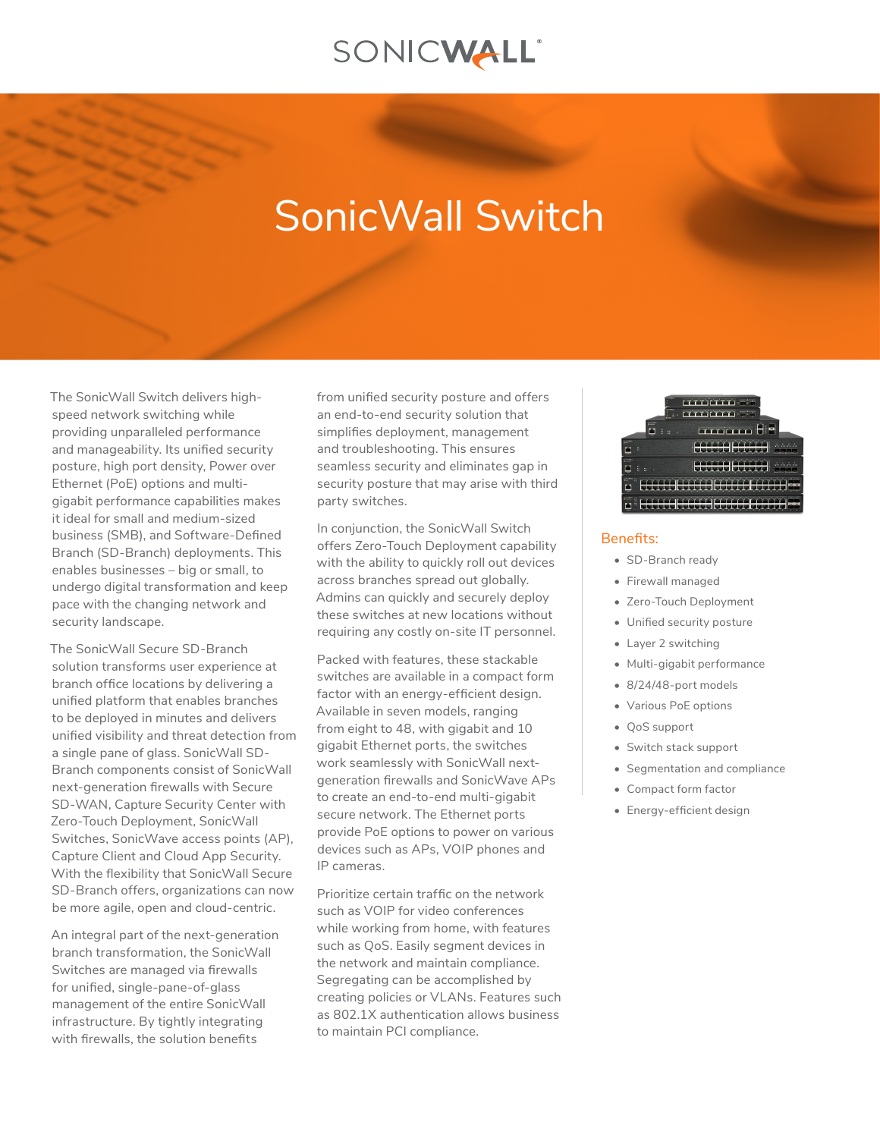# SONICWALL®

# SonicWall Switch

The SonicWall Switch delivers highspeed network switching while providing unparalleled performance and manageability. Its unified security posture, high port density, Power over Ethernet (PoE) options and multigigabit performance capabilities makes it ideal for small and medium-sized business (SMB), and Software-Defined Branch (SD-Branch) deployments. This enables businesses – big or small, to undergo digital transformation and keep pace with the changing network and security landscape.

The SonicWall Secure SD-Branch solution transforms user experience at branch office locations by delivering a unified platform that enables branches to be deployed in minutes and delivers unified visibility and threat detection from a single pane of glass. SonicWall SD-Branch components consist of SonicWall next-generation firewalls with Secure SD-WAN, Capture Security Center with Zero-Touch Deployment, SonicWall Switches, SonicWave access points (AP), Capture Client and Cloud App Security. With the flexibility that SonicWall Secure SD-Branch offers, organizations can now be more agile, open and cloud-centric.

An integral part of the next-generation branch transformation, the SonicWall Switches are managed via firewalls for unified, single-pane-of-glass management of the entire SonicWall infrastructure. By tightly integrating with firewalls, the solution benefits

from unified security posture and offers an end-to-end security solution that simplifies deployment, management and troubleshooting. This ensures seamless security and eliminates gap in security posture that may arise with third party switches.

In conjunction, the SonicWall Switch offers Zero-Touch Deployment capability with the ability to quickly roll out devices across branches spread out globally. Admins can quickly and securely deploy these switches at new locations without requiring any costly on-site IT personnel.

Packed with features, these stackable switches are available in a compact form factor with an energy-efficient design. Available in seven models, ranging from eight to 48, with gigabit and 10 gigabit Ethernet ports, the switches work seamlessly with SonicWall nextgeneration firewalls and SonicWave APs to create an end-to-end multi-gigabit secure network. The Ethernet ports provide PoE options to power on various devices such as APs, VOIP phones and IP cameras.

Prioritize certain traffic on the network such as VOIP for video conferences while working from home, with features such as QoS. Easily segment devices in the network and maintain compliance. Segregating can be accomplished by creating policies or VLANs. Features such as 802.1X authentication allows business to maintain PCI compliance.



## Benefits:

- SD-Branch ready
- Firewall managed
- Zero-Touch Deployment
- Unified security posture
- Layer 2 switching
- Multi-gigabit performance
- 8/24/48-port models
- Various PoE options
- QoS support
- Switch stack support
- Segmentation and compliance
- Compact form factor
- Energy-efficient design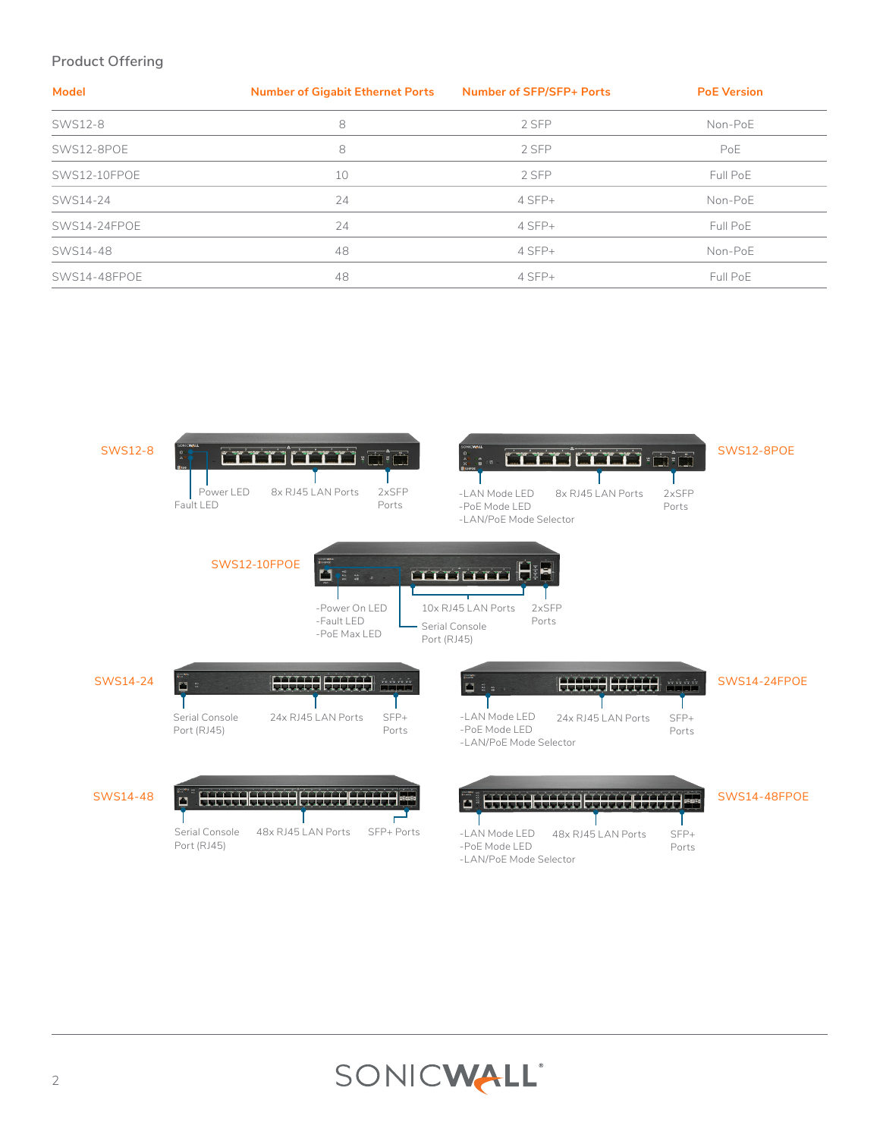# **Product Offering**

| <b>Model</b>   | <b>Number of Gigabit Ethernet Ports</b> | <b>Number of SFP/SFP+ Ports</b> | <b>PoE Version</b> |  |
|----------------|-----------------------------------------|---------------------------------|--------------------|--|
| <b>SWS12-8</b> | 8                                       | 2 SFP                           | Non-PoE            |  |
| SWS12-8POE     | 8                                       | 2 SFP                           | PoE                |  |
| SWS12-10FPOE   | 10                                      | 2 SFP                           | Full PoE           |  |
| SWS14-24       | 24                                      | $4$ SFP+                        | Non-PoE            |  |
| SWS14-24FPOE   | 24                                      | $4$ SFP+                        | Full PoE           |  |
| SWS14-48       | 48                                      | $4$ SFP+                        | Non-PoE            |  |
| SWS14-48FPOE   | 48                                      | $4$ SFP+                        | Full PoE           |  |
|                |                                         |                                 |                    |  |



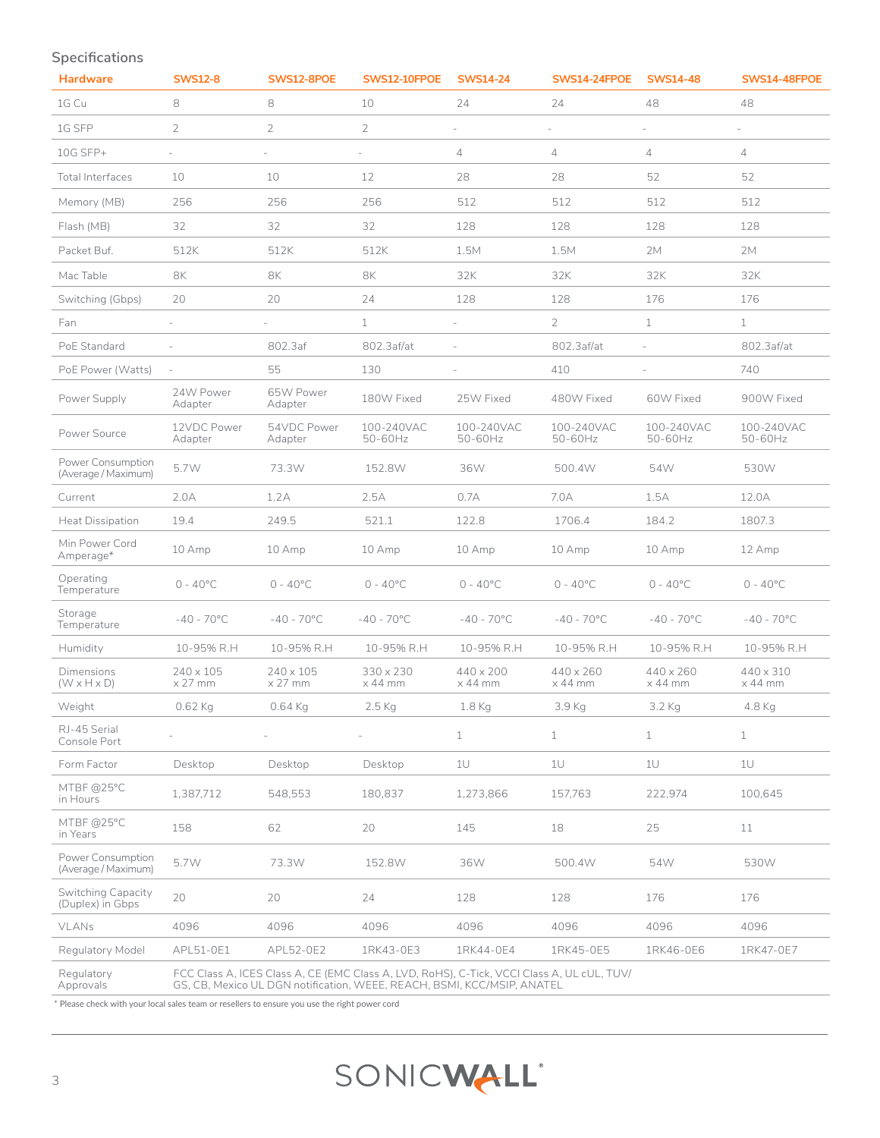# **Specifications**

| <b>Hardware</b>                              | <b>SWS12-8</b>                | <b>SWS12-8POE</b>        | <b>SWS12-10FPOE</b>                                                                                                                                                   | <b>SWS14-24</b>             | SWS14-24FPOE          | <b>SWS14-48</b>          | SWS14-48FPOE                |
|----------------------------------------------|-------------------------------|--------------------------|-----------------------------------------------------------------------------------------------------------------------------------------------------------------------|-----------------------------|-----------------------|--------------------------|-----------------------------|
| 1G Cu                                        | 8                             | 8                        | 10                                                                                                                                                                    | 24                          | 24                    | 48                       | 48                          |
| 1G SFP                                       | $\overline{2}$                | $\overline{2}$           | $\overline{2}$                                                                                                                                                        | $\sim$                      | ÷,                    | $\overline{\phantom{a}}$ | $\overline{\phantom{a}}$    |
| 10G SFP+                                     |                               |                          |                                                                                                                                                                       | $\overline{4}$              | 4                     | $\overline{4}$           | $\overline{4}$              |
| <b>Total Interfaces</b>                      | 10                            | 10                       | 12                                                                                                                                                                    | 28                          | 28                    | 52                       | 52                          |
| Memory (MB)                                  | 256                           | 256                      | 256                                                                                                                                                                   | 512                         | 512                   | 512                      | 512                         |
| Flash (MB)                                   | 32                            | 32                       | 32                                                                                                                                                                    | 128                         | 128                   | 128                      | 128                         |
| Packet Buf.                                  | 512K                          | 512K                     | 512K                                                                                                                                                                  | 1.5M                        | 1.5M                  | 2M                       | 2M                          |
| Mac Table                                    | 8K                            | <b>8K</b>                | <b>8K</b>                                                                                                                                                             | 32K                         | 32K                   | 32K                      | 32K                         |
| Switching (Gbps)                             | 20                            | 20                       | 24                                                                                                                                                                    | 128                         | 128                   | 176                      | 176                         |
| Fan                                          | $\overline{\phantom{a}}$      | $\overline{\phantom{a}}$ | $\mathbf{1}$                                                                                                                                                          | $\overline{\phantom{a}}$    | $\overline{2}$        | $\mathbf 1$              | $\mathbf{1}$                |
| PoE Standard                                 |                               | 802.3af                  | 802.3af/at                                                                                                                                                            | ä,                          | 802.3af/at            | $\sim$                   | 802.3af/at                  |
| PoE Power (Watts)                            | $\overline{\phantom{a}}$      | 55                       | 130                                                                                                                                                                   | $\sim$                      | 410                   | $\overline{\phantom{a}}$ | 740                         |
| Power Supply                                 | 24W Power<br>Adapter          | 65W Power<br>Adapter     | 180W Fixed                                                                                                                                                            | 25W Fixed                   | 480W Fixed            | 60W Fixed                | 900W Fixed                  |
| Power Source                                 | 12VDC Power<br>Adapter        | 54VDC Power<br>Adapter   | 100-240VAC<br>50-60Hz                                                                                                                                                 | 100-240VAC<br>50-60Hz       | 100-240VAC<br>50-60Hz | 100-240VAC<br>50-60Hz    | 100-240VAC<br>50-60Hz       |
| Power Consumption<br>(Average / Maximum)     | 5.7W                          | 73.3W                    | 152.8W                                                                                                                                                                | 36W                         | 500.4W                | 54W                      | 530W                        |
| Current                                      | 2.0A                          | 1.2A                     | 2.5A                                                                                                                                                                  | 0.7A                        | 7.0A                  | 1.5A                     | 12.0A                       |
| <b>Heat Dissipation</b>                      | 19.4                          | 249.5                    | 521.1                                                                                                                                                                 | 122.8                       | 1706.4                | 184.2                    | 1807.3                      |
| Min Power Cord<br>Amperage*                  | 10 Amp                        | 10 Amp                   | 10 Amp                                                                                                                                                                | 10 Amp                      | 10 Amp                | 10 Amp                   | 12 Amp                      |
| Operating<br>Temperature                     | $0 - 40^{\circ}$ C            | $0 - 40^{\circ}$ C       | $0 - 40^{\circ}$ C                                                                                                                                                    | $0 - 40^{\circ}$ C          | $0 - 40^{\circ}$ C    | $0 - 40^{\circ}$ C       | $0 - 40^{\circ}$ C          |
| Storage<br>Temperature                       | $-40 - 70^{\circ}$ C          | $-40 - 70^{\circ}$ C     | $-40 - 70^{\circ}$ C                                                                                                                                                  | $-40 - 70^{\circ}$ C        | $-40 - 70^{\circ}$ C  | $-40 - 70^{\circ}$ C     | $-40 - 70^{\circ}$ C        |
| Humidity                                     | 10-95% R.H                    | 10-95% R.H               | 10-95% R.H                                                                                                                                                            | 10-95% R.H                  | 10-95% R.H            | 10-95% R.H               | 10-95% R.H                  |
| <b>Dimensions</b><br>$(W \times H \times D)$ | $240 \times 105$<br>$x 27$ mm | 240 x 105<br>$x 27$ mm   | 330 x 230<br>$\times$ 44 mm                                                                                                                                           | 440 x 200<br>$\times$ 44 mm | 440 x 260<br>x 44 mm  | 440 x 260<br>x 44 mm     | 440 x 310<br>$\times$ 44 mm |
| Weight                                       | 0.62 Kg                       | 0.64 Kg                  | $2.5$ Kg                                                                                                                                                              | 1.8 Kg                      | 3.9 Kg                | 3.2 Kg                   | 4.8 Kg                      |
| RJ-45 Serial<br>Console Port                 |                               |                          |                                                                                                                                                                       | $\mathbf{1}$                | $\mathbf{1}$          | $\mathbf{1}$             | $\mathbf 1$                 |
| Form Factor                                  | Desktop                       | Desktop                  | Desktop                                                                                                                                                               | 1U                          | 1U                    | 1U                       | 1U                          |
| MTBF@25°C<br>in Hours                        | 1,387,712                     | 548.553                  | 180,837                                                                                                                                                               | 1,273,866                   | 157,763               | 222,974                  | 100,645                     |
| MTBF@25°C<br>in Years                        | 158                           | 62                       | 20                                                                                                                                                                    | 145                         | 18                    | 25                       | 11                          |
| Power Consumption<br>(Average / Maximum)     | 5.7W                          | 73.3W                    | 152.8W                                                                                                                                                                | 36W                         | 500.4W                | 54W                      | 530W                        |
| Switching Capacity<br>(Duplex) in Gbps       | 20                            | 20                       | 24                                                                                                                                                                    | 128                         | 128                   | 176                      | 176                         |
| <b>VLANs</b>                                 | 4096                          | 4096                     | 4096                                                                                                                                                                  | 4096                        | 4096                  | 4096                     | 4096                        |
| Regulatory Model                             | APL51-0E1                     | APL52-0E2                | 1RK43-0E3                                                                                                                                                             | 1RK44-0E4                   | 1RK45-0E5             | 1RK46-0E6                | 1RK47-0E7                   |
| Regulatory<br>Approvals                      |                               |                          | FCC Class A, ICES Class A, CE (EMC Class A, LVD, RoHS), C-Tick, VCCI Class A, UL cUL, TUV/<br>GS, CB, Mexico UL DGN notification, WEEE, REACH, BSMI, KCC/MSIP, ANATEL |                             |                       |                          |                             |

\* Please check with your local sales team or resellers to ensure you use the right power cord

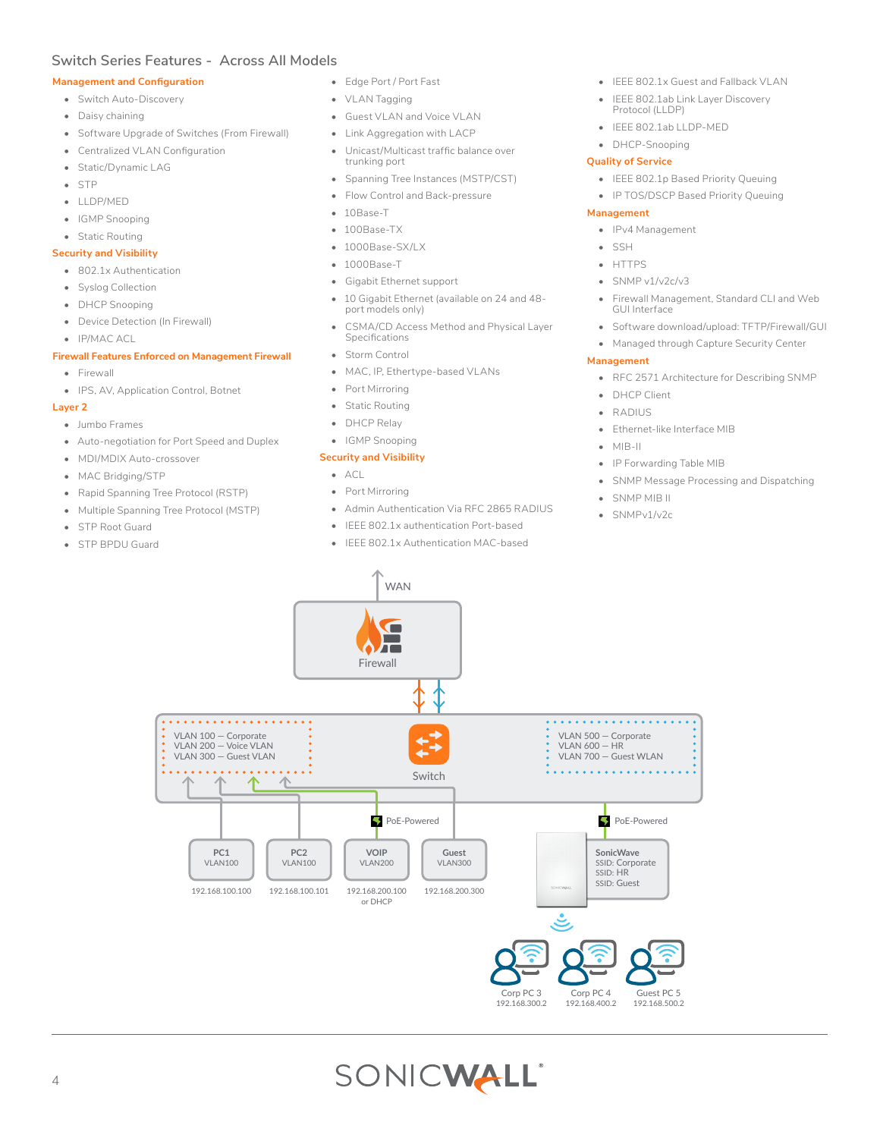# **Switch Series Features - Across All Models**

#### **Management and Configuration**

- Switch Auto-Discovery
- Daisy chaining
- Software Upgrade of Switches (From Firewall)
- Centralized VLAN Configuration
- Static/Dynamic LAG
- STP
- LLDP/MED
- IGMP Snooping
- Static Routing

#### **Security and Visibility**

- 802.1x Authentication
- Syslog Collection
- DHCP Snooping
- Device Detection (In Firewall)
- IP/MAC ACL

#### **Firewall Features Enforced on Management Firewall**

- Firewall
- IPS, AV, Application Control, Botnet

#### **Layer 2**

- Jumbo Frames
- Auto-negotiation for Port Speed and Duplex
- MDI/MDIX Auto-crossover
- MAC Bridging/STP
- Rapid Spanning Tree Protocol (RSTP)
- Multiple Spanning Tree Protocol (MSTP)
- STP Root Guard
- STP BPDU Guard
- Edge Port / Port Fast
- VLAN Tagging
- Guest VLAN and Voice VLAN
- Link Aggregation with LACP
- Unicast/Multicast traffic balance over trunking port
- Spanning Tree Instances (MSTP/CST)
- Flow Control and Back-pressure
- 10Base-T
- 100Base-TX
- 1000Base-SX/LX
- 1000Base-T
- Gigabit Ethernet support
- 10 Gigabit Ethernet (available on 24 and 48 port models only)
- CSMA/CD Access Method and Physical Layer Specifications
- Storm Control
- MAC, IP, Ethertype-based VLANs
- Port Mirroring
- Static Routing
- DHCP Relay
- IGMP Snooping

## **Security and Visibility**

- ACL
- Port Mirroring
- Admin Authentication Via RFC 2865 RADIUS
- IEEE 802.1x authentication Port-based
- IEEE 802.1x Authentication MAC-based
- IEEE 802.1x Guest and Fallback VLAN
- IEEE 802.1ab Link Layer Discovery Protocol (LLDP)
- IEEE 802.1ab LLDP-MED
- DHCP-Snooping

#### **Quality of Service**

- IEEE 802.1p Based Priority Queuing
- IP TOS/DSCP Based Priority Queuing

#### **Management**

- IPv4 Management
- SSH
- HTTPS
- $\bullet$  SNMP v1/v2c/v3
- Firewall Management, Standard CLI and Web GUI Interface
- Software download/upload: TFTP/Firewall/GUI
- Managed through Capture Security Center

#### **Management**

- RFC 2571 Architecture for Describing SNMP
- DHCP Client
- RADIUS
- Ethernet-like Interface MIB
- MIB-II
- IP Forwarding Table MIB
- SNMP Message Processing and Dispatching
- SNMP MIB II
- SNMPv1/v2c